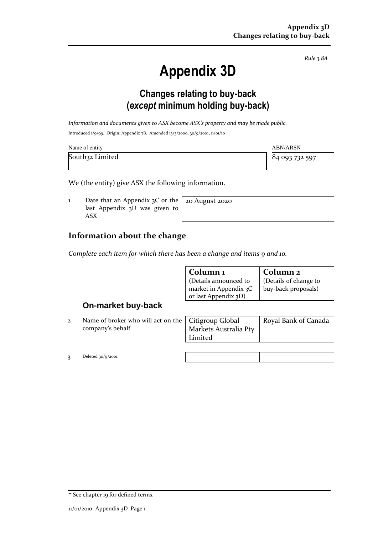*Rule 3.8A*

# **Appendix 3D**

## **Changes relating to buy-back (***except* **minimum holding buy-back)**

*Information and documents given to ASX become ASX's property and may be made public.*

Introduced 1/9/99. Origin: Appendix 7B. Amended 13/3/2000, 30/9/2001, 11/01/10

| Name of entity  | <b>ABN/ARSN</b> |
|-----------------|-----------------|
| South32 Limited | 84 093 732 597  |

We (the entity) give ASX the following information.

1 Date that an Appendix  $3C$  or the last Appendix 3D was given to ASX

20 August 2020

### **Information about the change**

*Complete each item for which there has been a change and items 9 and 10.*

| Column 1              | Column <sub>2</sub>   |
|-----------------------|-----------------------|
| Details announced to  | (Details of change to |
| market in Appendix 3C | buy-back proposals)   |
| or last Appendix 3D)  |                       |

#### **On-market buy-back**

2 Name of broker who will act on the company's behalf

| Citigroup Global      | Royal Bank of Canada |
|-----------------------|----------------------|
| Markets Australia Pty |                      |
| Limited               |                      |
|                       |                      |

3 Deleted 30/9/2001.

| <sup>+</sup> See chapter 19 for defined terms. |  |
|------------------------------------------------|--|
|                                                |  |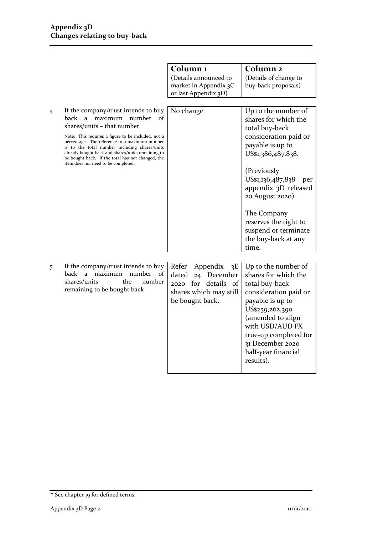|   |                                                                                                                                                                                                                                                                                                                                                                                                                    | Column <sub>1</sub><br>(Details announced to<br>market in Appendix 3C<br>or last Appendix 3D)                            | Column <sub>2</sub><br>(Details of change to<br>buy-back proposals)                                                                                                                                                                                                                                                     |
|---|--------------------------------------------------------------------------------------------------------------------------------------------------------------------------------------------------------------------------------------------------------------------------------------------------------------------------------------------------------------------------------------------------------------------|--------------------------------------------------------------------------------------------------------------------------|-------------------------------------------------------------------------------------------------------------------------------------------------------------------------------------------------------------------------------------------------------------------------------------------------------------------------|
| 4 | If the company/trust intends to buy<br>maximum<br>number<br>back<br>a<br>οf<br>shares/units – that number<br>Note: This requires a figure to be included, not a<br>percentage. The reference to a maximum number<br>is to the total number including shares/units<br>already bought back and shares/units remaining to<br>be bought back. If the total has not changed, the<br>item does not need to be completed. | No change                                                                                                                | Up to the number of<br>shares for which the<br>total buy-back<br>consideration paid or<br>payable is up to<br>US\$1,386,487,838.<br>(Previously<br>US\$1,136,487,838<br>per<br>appendix 3D released<br>20 August 2020).<br>The Company<br>reserves the right to<br>suspend or terminate<br>the buy-back at any<br>time. |
| 5 | If the company/trust intends to buy<br>back<br>maximum<br>number<br>of<br>a<br>shares/units<br>the<br>number<br>remaining to be bought back                                                                                                                                                                                                                                                                        | Appendix<br>Refer<br>3E<br>24 December<br>dated<br>2020 for details<br>- of<br>shares which may still<br>be bought back. | Up to the number of<br>shares for which the<br>total buy-back<br>consideration paid or<br>payable is up to<br>US\$259,262,390<br>(amended to align<br>with USD/AUD FX<br>true-up completed for<br>31 December 2020<br>half-year financial<br>results).                                                                  |

<sup>+</sup> See chapter 19 for defined terms.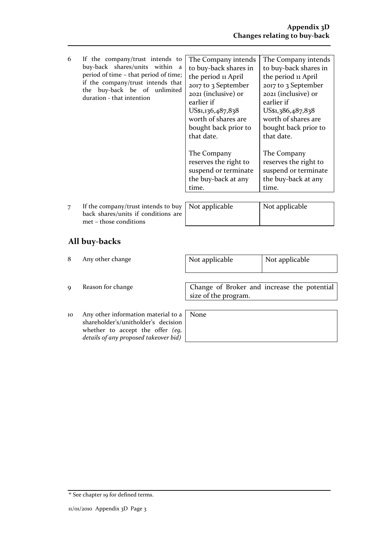| 6            | If the company/trust intends to<br>buy-back shares/units within a<br>period of time – that period of time;<br>if the company/trust intends that<br>buy-back be of unlimited<br>the<br>duration - that intention | The Company intends<br>to buy-back shares in<br>the period 11 April<br>2017 to 3 September<br>2021 (inclusive) or<br>earlier if<br>US\$1,136,487,838<br>worth of shares are<br>bought back prior to<br>that date. | The Company intends<br>to buy-back shares in<br>the period in April<br>2017 to 3 September<br>2021 (inclusive) or<br>earlier if<br>US\$1,386,487,838<br>worth of shares are<br>bought back prior to<br>that date. |
|--------------|-----------------------------------------------------------------------------------------------------------------------------------------------------------------------------------------------------------------|-------------------------------------------------------------------------------------------------------------------------------------------------------------------------------------------------------------------|-------------------------------------------------------------------------------------------------------------------------------------------------------------------------------------------------------------------|
|              |                                                                                                                                                                                                                 | The Company<br>reserves the right to<br>suspend or terminate<br>the buy-back at any<br>time.                                                                                                                      | The Company<br>reserves the right to<br>suspend or terminate<br>the buy-back at any<br>time.                                                                                                                      |
| $\mathbf{r}$ | If the company/trust intends to buy $\vert$ Not applicable                                                                                                                                                      |                                                                                                                                                                                                                   | Not applicable                                                                                                                                                                                                    |

7 If the company/trust intends to buy back shares/units if conditions are met – those conditions

| Not applicable | Not applicable |
|----------------|----------------|
|                |                |

## **All buy-backs**

| 8           | Any other change                                                                                                                                               | Not applicable                                                      | Not applicable |
|-------------|----------------------------------------------------------------------------------------------------------------------------------------------------------------|---------------------------------------------------------------------|----------------|
| $\mathbf Q$ | Reason for change                                                                                                                                              | Change of Broker and increase the potential<br>size of the program. |                |
| 10          | Any other information material to a   None<br>shareholder's/unitholder's decision<br>whether to accept the offer (eq,<br>details of any proposed takeover bid) |                                                                     |                |

<sup>+</sup> See chapter 19 for defined terms.